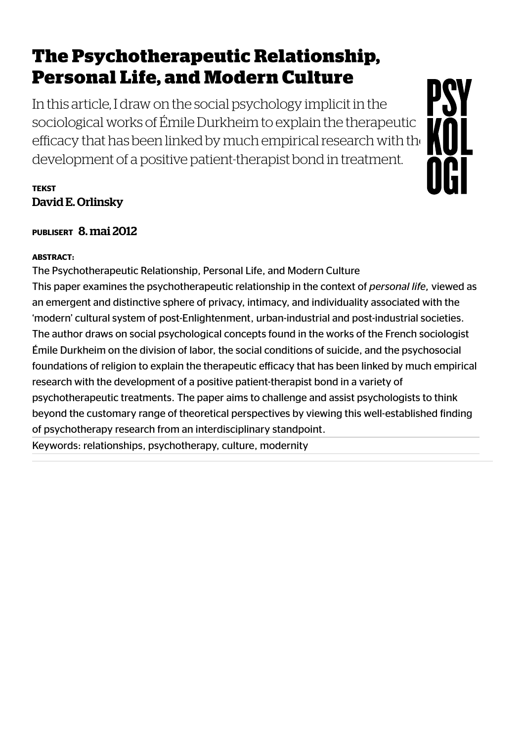# The Psychotherapeutic Relationship, Personal Life, and Modern Culture

In this article, I draw on the social psychology implicit in the sociological works of Émile Durkheim to explain the therapeutic [e](https://psykologtidsskriftet.no/)fficacy that has been linked by much empirical research with the development of a positive patient-therapist bond in treatment.

PSY

NGI

### **TEKST** David E. Orlinsky

PUBLISERT 8. mai 2012

#### ABSTRACT:

The Psychotherapeutic Relationship, Personal Life, and Modern Culture This paper examines the psychotherapeutic relationship in the context of *personal life*, viewed as an emergent and distinctive sphere of privacy, intimacy, and individuality associated with the 'modern' cultural system of post-Enlightenment, urban-industrial and post-industrial societies. The author draws on social psychological concepts found in the works of the French sociologist Émile Durkheim on the division of labor, the social conditions of suicide, and the psychosocial foundations of religion to explain the therapeutic efficacy that has been linked by much empirical research with the development of a positive patient-therapist bond in a variety of psychotherapeutic treatments. The paper aims to challenge and assist psychologists to think beyond the customary range of theoretical perspectives by viewing this well-established inding of psychotherapy research from an interdisciplinary standpoint.

Keywords: relationships, psychotherapy, culture, modernity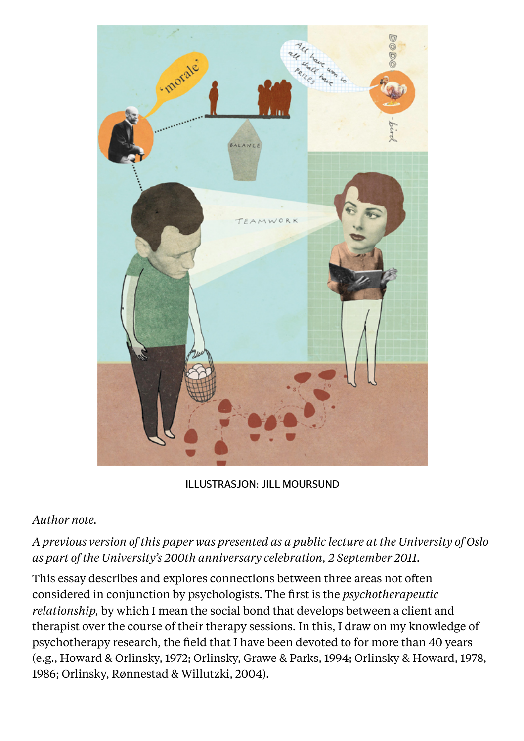

ILLUSTRASJON: JILL MOURSUND

#### *Author note.*

## *A previous version of this paper was presented as a public lecture at the University of Oslo as part of the University's 200th anniversary celebration, 2 September 2011.*

This essay describes and explores connections between three areas not often considered in conjunction by psychologists. The first is the *psychotherapeutic relationship,* by which I mean the social bond that develops between a client and therapist over the course of their therapy sessions. In this, I draw on my knowledge of psychotherapy research, the field that I have been devoted to for more than 40 years (e.g., Howard & Orlinsky, 1972; Orlinsky, Grawe & Parks, 1994; Orlinsky & Howard, 1978, 1986; Orlinsky, Rønnestad & Willutzki, 2004).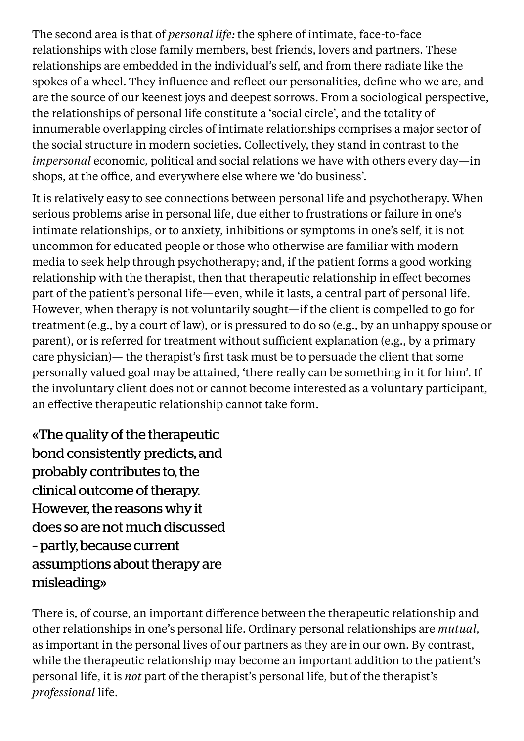The second area is that of *personal life:* the sphere of intimate, face-to-face relationships with close family members, best friends, lovers and partners. These relationships are embedded in the individual's self, and from there radiate like the spokes of a wheel. They influence and reflect our personalities, define who we are, and are the source of our keenest joys and deepest sorrows. From a sociological perspective, the relationships of personal life constitute a 'social circle', and the totality of innumerable overlapping circles of intimate relationships comprises a major sector of the social structure in modern societies. Collectively, they stand in contrast to the *impersonal* economic, political and social relations we have with others every day—in shops, at the office, and everywhere else where we 'do business'.

It is relatively easy to see connections between personal life and psychotherapy. When serious problems arise in personal life, due either to frustrations or failure in one's intimate relationships, or to anxiety, inhibitions or symptoms in one's self, it is not uncommon for educated people or those who otherwise are familiar with modern media to seek help through psychotherapy; and, if the patient forms a good working relationship with the therapist, then that therapeutic relationship in effect becomes part of the patient's personal life—even, while it lasts, a central part of personal life. However, when therapy is not voluntarily sought—if the client is compelled to go for treatment (e.g., by a court of law), or is pressured to do so (e.g., by an unhappy spouse or parent), or is referred for treatment without sufficient explanation (e.g., by a primary care physician)— the therapist's first task must be to persuade the client that some personally valued goal may be attained, 'there really can be something in it for him'. If the involuntary client does not or cannot become interested as a voluntary participant, an effective therapeutic relationship cannot take form.

«The quality of the therapeutic bond consistently predicts, and probably contributes to, the clinical outcome of therapy. However, the reasons why it does so are not much discussed – partly, because current assumptions about therapy are misleading»

There is, of course, an important difference between the therapeutic relationship and other relationships in one's personal life. Ordinary personal relationships are *mutual,* as important in the personal lives of our partners as they are in our own. By contrast, while the therapeutic relationship may become an important addition to the patient's personal life, it is *not* part of the therapist's personal life, but of the therapist's *professional* life.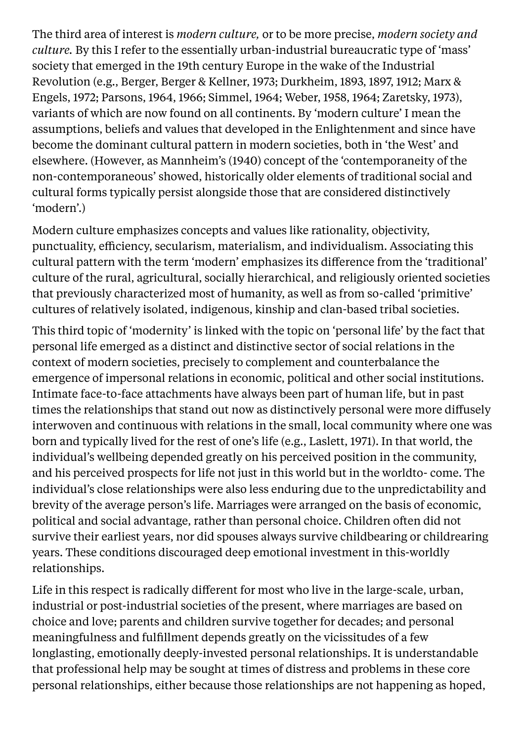The third area of interest is *modern culture,* or to be more precise, *modern society and culture.* By this I refer to the essentially urban-industrial bureaucratic type of 'mass' society that emerged in the 19th century Europe in the wake of the Industrial Revolution (e.g., Berger, Berger & Kellner, 1973; Durkheim, 1893, 1897, 1912; Marx & Engels, 1972; Parsons, 1964, 1966; Simmel, 1964; Weber, 1958, 1964; Zaretsky, 1973), variants of which are now found on all continents. By 'modern culture' I mean the assumptions, beliefs and values that developed in the Enlightenment and since have become the dominant cultural pattern in modern societies, both in 'the West' and elsewhere. (However, as Mannheim's (1940) concept of the 'contemporaneity of the non-contemporaneous' showed, historically older elements of traditional social and cultural forms typically persist alongside those that are considered distinctively 'modern'.)

Modern culture emphasizes concepts and values like rationality, objectivity, punctuality, efficiency, secularism, materialism, and individualism. Associating this cultural pattern with the term 'modern' emphasizes its difference from the 'traditional' culture of the rural, agricultural, socially hierarchical, and religiously oriented societies that previously characterized most of humanity, as well as from so-called 'primitive' cultures of relatively isolated, indigenous, kinship and clan-based tribal societies.

This third topic of 'modernity' is linked with the topic on 'personal life' by the fact that personal life emerged as a distinct and distinctive sector of social relations in the context of modern societies, precisely to complement and counterbalance the emergence of impersonal relations in economic, political and other social institutions. Intimate face-to-face attachments have always been part of human life, but in past times the relationships that stand out now as distinctively personal were more diffusely interwoven and continuous with relations in the small, local community where one was born and typically lived for the rest of one's life (e.g., Laslett, 1971). In that world, the individual's wellbeing depended greatly on his perceived position in the community, and his perceived prospects for life not just in this world but in the worldto- come. The individual's close relationships were also less enduring due to the unpredictability and brevity of the average person's life. Marriages were arranged on the basis of economic, political and social advantage, rather than personal choice. Children often did not survive their earliest years, nor did spouses always survive childbearing or childrearing years. These conditions discouraged deep emotional investment in this-worldly relationships.

Life in this respect is radically different for most who live in the large-scale, urban, industrial or post-industrial societies of the present, where marriages are based on choice and love; parents and children survive together for decades; and personal meaningfulness and fulfillment depends greatly on the vicissitudes of a few longlasting, emotionally deeply-invested personal relationships. It is understandable that professional help may be sought at times of distress and problems in these core personal relationships, either because those relationships are not happening as hoped,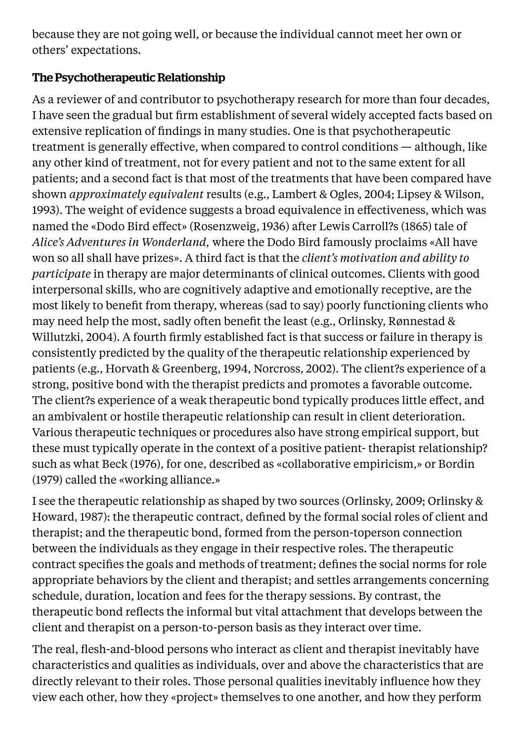because they are not going well, or because the individual cannot meet her own or others' expectations.

## The Psychotherapeutic Relationship

As a reviewer of and contributor to psychotherapy research for more than four decades, I have seen the gradual but firm establishment of several widely accepted facts based on extensive replication of findings in many studies. One is that psychotherapeutic treatment is generally effective, when compared to control conditions — although, like any other kind of treatment, not for every patient and not to the same extent for all patients; and a second fact is that most of the treatments that have been compared have shown *approximately equivalent* results (e.g., Lambert & Ogles, 2004; Lipsey & Wilson, 1993). The weight of evidence suggests a broad equivalence in effectiveness, which was named the «Dodo Bird effect» (Rosenzweig, 1936) after Lewis Carroll?s (1865) tale of *Alice's Adventures in Wonderland,* where the Dodo Bird famously proclaims «All have won so all shall have prizes». A third fact is that the *client's motivation and ability to participate* in therapy are major determinants of clinical outcomes. Clients with good interpersonal skills, who are cognitively adaptive and emotionally receptive, are the most likely to benefit from therapy, whereas (sad to say) poorly functioning clients who may need help the most, sadly often benefit the least (e.g., Orlinsky, Rønnestad & Willutzki, 2004). A fourth firmly established fact is that success or failure in therapy is consistently predicted by the quality of the therapeutic relationship experienced by patients (e.g., Horvath & Greenberg, 1994, Norcross, 2002). The client?s experience of a strong, positive bond with the therapist predicts and promotes a favorable outcome. The client?s experience of a weak therapeutic bond typically produces little effect, and an ambivalent or hostile therapeutic relationship can result in client deterioration. Various therapeutic techniques or procedures also have strong empirical support, but these must typically operate in the context of a positive patient- therapist relationship? such as what Beck (1976), for one, described as «collaborative empiricism,» or Bordin (1979) called the «working alliance.»

I see the therapeutic relationship as shaped by two sources (Orlinsky, 2009; Orlinsky & Howard, 1987): the therapeutic contract, defined by the formal social roles of client and therapist; and the therapeutic bond, formed from the person-toperson connection between the individuals as they engage in their respective roles. The therapeutic contract specifies the goals and methods of treatment; defines the social norms for role appropriate behaviors by the client and therapist; and settles arrangements concerning schedule, duration, location and fees for the therapy sessions. By contrast, the therapeutic bond reflects the informal but vital attachment that develops between the client and therapist on a person-to-person basis as they interact over time.

The real, flesh-and-blood persons who interact as client and therapist inevitably have characteristics and qualities as individuals, over and above the characteristics that are directly relevant to their roles. Those personal qualities inevitably influence how they view each other, how they «project» themselves to one another, and how they perform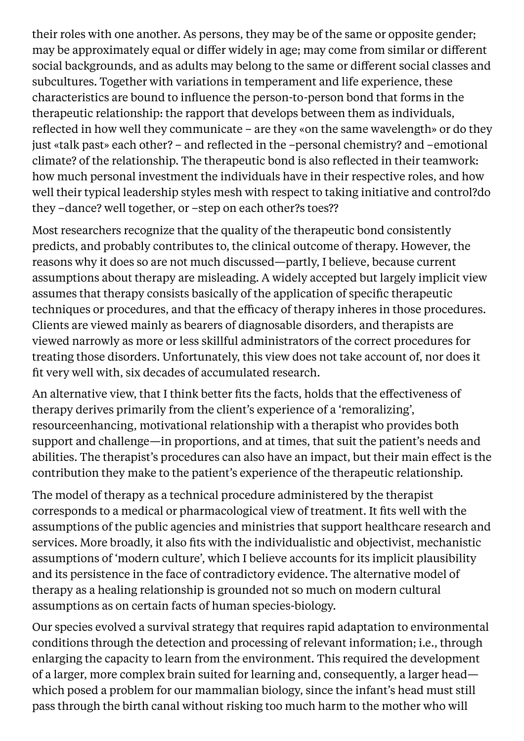their roles with one another. As persons, they may be of the same or opposite gender; may be approximately equal or differ widely in age; may come from similar or different social backgrounds, and as adults may belong to the same or different social classes and subcultures. Together with variations in temperament and life experience, these characteristics are bound to influence the person-to-person bond that forms in the therapeutic relationship: the rapport that develops between them as individuals, reflected in how well they communicate – are they «on the same wavelength» or do they just «talk past» each other? – and reflected in the –personal chemistry? and –emotional climate? of the relationship. The therapeutic bond is also reflected in their teamwork: how much personal investment the individuals have in their respective roles, and how well their typical leadership styles mesh with respect to taking initiative and control?do they –dance? well together, or –step on each other?s toes??

Most researchers recognize that the quality of the therapeutic bond consistently predicts, and probably contributes to, the clinical outcome of therapy. However, the reasons why it does so are not much discussed—partly, I believe, because current assumptions about therapy are misleading. A widely accepted but largely implicit view assumes that therapy consists basically of the application of specific therapeutic techniques or procedures, and that the efficacy of therapy inheres in those procedures. Clients are viewed mainly as bearers of diagnosable disorders, and therapists are viewed narrowly as more or less skillful administrators of the correct procedures for treating those disorders. Unfortunately, this view does not take account of, nor does it fit very well with, six decades of accumulated research.

An alternative view, that I think better fits the facts, holds that the effectiveness of therapy derives primarily from the client's experience of a 'remoralizing', resourceenhancing, motivational relationship with a therapist who provides both support and challenge—in proportions, and at times, that suit the patient's needs and abilities. The therapist's procedures can also have an impact, but their main effect is the contribution they make to the patient's experience of the therapeutic relationship.

The model of therapy as a technical procedure administered by the therapist corresponds to a medical or pharmacological view of treatment. It fits well with the assumptions of the public agencies and ministries that support healthcare research and services. More broadly, it also fits with the individualistic and objectivist, mechanistic assumptions of 'modern culture', which I believe accounts for its implicit plausibility and its persistence in the face of contradictory evidence. The alternative model of therapy as a healing relationship is grounded not so much on modern cultural assumptions as on certain facts of human species-biology.

Our species evolved a survival strategy that requires rapid adaptation to environmental conditions through the detection and processing of relevant information; i.e., through enlarging the capacity to learn from the environment. This required the development of a larger, more complex brain suited for learning and, consequently, a larger head which posed a problem for our mammalian biology, since the infant's head must still pass through the birth canal without risking too much harm to the mother who will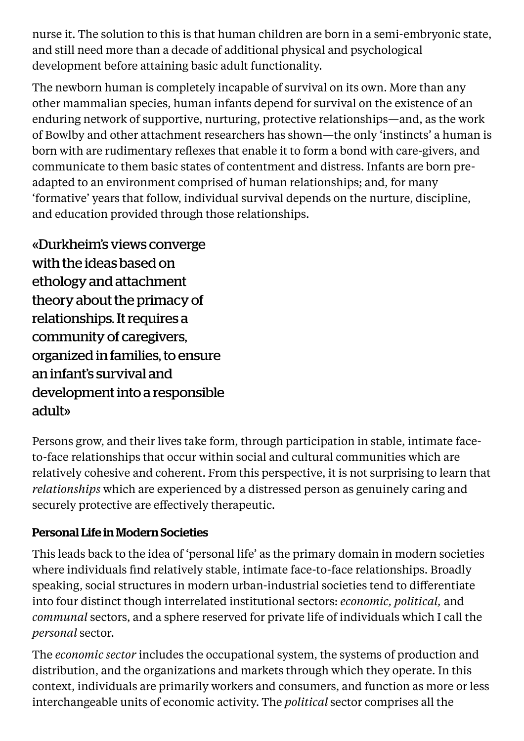nurse it. The solution to this is that human children are born in a semi-embryonic state, and still need more than a decade of additional physical and psychological development before attaining basic adult functionality.

The newborn human is completely incapable of survival on its own. More than any other mammalian species, human infants depend for survival on the existence of an enduring network of supportive, nurturing, protective relationships—and, as the work of Bowlby and other attachment researchers has shown—the only 'instincts' a human is born with are rudimentary reflexes that enable it to form a bond with care-givers, and communicate to them basic states of contentment and distress. Infants are born preadapted to an environment comprised of human relationships; and, for many 'formative' years that follow, individual survival depends on the nurture, discipline, and education provided through those relationships.

«Durkheim's views converge with the ideas based on ethology and attachment theory about the primacy of relationships. It requires a community of caregivers, organized in families, to ensure an infant's survival and development into a responsible adult»

Persons grow, and their lives take form, through participation in stable, intimate faceto-face relationships that occur within social and cultural communities which are relatively cohesive and coherent. From this perspective, it is not surprising to learn that *relationships* which are experienced by a distressed person as genuinely caring and securely protective are effectively therapeutic.

# Personal Life in Modern Societies

This leads back to the idea of 'personal life' as the primary domain in modern societies where individuals find relatively stable, intimate face-to-face relationships. Broadly speaking, social structures in modern urban-industrial societies tend to differentiate into four distinct though interrelated institutional sectors: *economic, political,* and *communal* sectors, and a sphere reserved for private life of individuals which I call the *personal* sector.

The *economic sector* includes the occupational system, the systems of production and distribution, and the organizations and markets through which they operate. In this context, individuals are primarily workers and consumers, and function as more or less interchangeable units of economic activity. The *political* sector comprises all the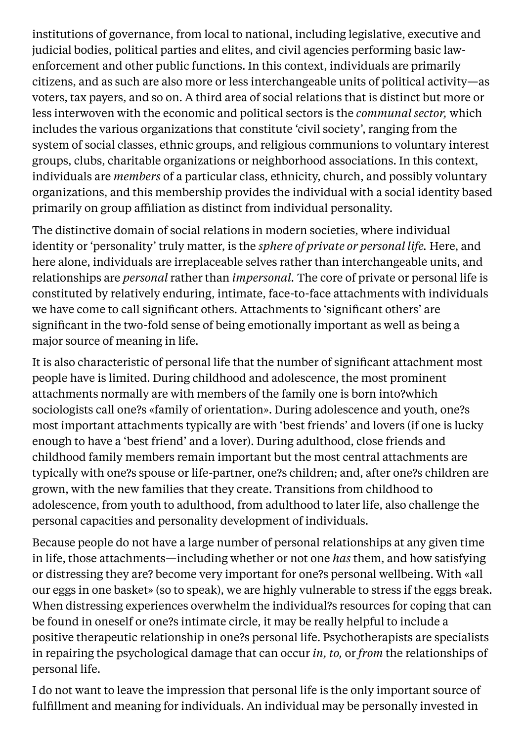institutions of governance, from local to national, including legislative, executive and judicial bodies, political parties and elites, and civil agencies performing basic lawenforcement and other public functions. In this context, individuals are primarily citizens, and as such are also more or less interchangeable units of political activity—as voters, tax payers, and so on. A third area of social relations that is distinct but more or less interwoven with the economic and political sectors is the *communal sector,* which includes the various organizations that constitute 'civil society', ranging from the system of social classes, ethnic groups, and religious communions to voluntary interest groups, clubs, charitable organizations or neighborhood associations. In this context, individuals are *members* of a particular class, ethnicity, church, and possibly voluntary organizations, and this membership provides the individual with a social identity based primarily on group affiliation as distinct from individual personality.

The distinctive domain of social relations in modern societies, where individual identity or 'personality' truly matter, is the *sphere of private or personal life.* Here, and here alone, individuals are irreplaceable selves rather than interchangeable units, and relationships are *personal* rather than *impersonal.* The core of private or personal life is constituted by relatively enduring, intimate, face-to-face attachments with individuals we have come to call significant others. Attachments to 'significant others' are significant in the two-fold sense of being emotionally important as well as being a major source of meaning in life.

It is also characteristic of personal life that the number of significant attachment most people have is limited. During childhood and adolescence, the most prominent attachments normally are with members of the family one is born into?which sociologists call one?s «family of orientation». During adolescence and youth, one?s most important attachments typically are with 'best friends' and lovers (if one is lucky enough to have a 'best friend' and a lover). During adulthood, close friends and childhood family members remain important but the most central attachments are typically with one?s spouse or life-partner, one?s children; and, after one?s children are grown, with the new families that they create. Transitions from childhood to adolescence, from youth to adulthood, from adulthood to later life, also challenge the personal capacities and personality development of individuals.

Because people do not have a large number of personal relationships at any given time in life, those attachments—including whether or not one *has* them, and how satisfying or distressing they are? become very important for one?s personal wellbeing. With «all our eggs in one basket» (so to speak), we are highly vulnerable to stress if the eggs break. When distressing experiences overwhelm the individual?s resources for coping that can be found in oneself or one?s intimate circle, it may be really helpful to include a positive therapeutic relationship in one?s personal life. Psychotherapists are specialists in repairing the psychological damage that can occur *in, to,* or *from* the relationships of personal life.

I do not want to leave the impression that personal life is the only important source of fulfillment and meaning for individuals. An individual may be personally invested in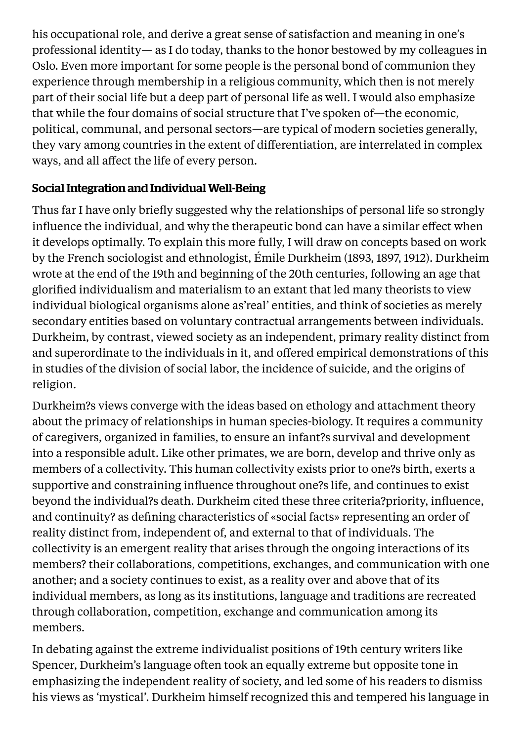his occupational role, and derive a great sense of satisfaction and meaning in one's professional identity— as I do today, thanks to the honor bestowed by my colleagues in Oslo. Even more important for some people is the personal bond of communion they experience through membership in a religious community, which then is not merely part of their social life but a deep part of personal life as well. I would also emphasize that while the four domains of social structure that I've spoken of—the economic, political, communal, and personal sectors—are typical of modern societies generally, they vary among countries in the extent of differentiation, are interrelated in complex ways, and all affect the life of every person.

## Social Integration and Individual Well-Being

Thus far I have only briefly suggested why the relationships of personal life so strongly influence the individual, and why the therapeutic bond can have a similar effect when it develops optimally. To explain this more fully, I will draw on concepts based on work by the French sociologist and ethnologist, Émile Durkheim (1893, 1897, 1912). Durkheim wrote at the end of the 19th and beginning of the 20th centuries, following an age that glorified individualism and materialism to an extant that led many theorists to view individual biological organisms alone as'real' entities, and think of societies as merely secondary entities based on voluntary contractual arrangements between individuals. Durkheim, by contrast, viewed society as an independent, primary reality distinct from and superordinate to the individuals in it, and offered empirical demonstrations of this in studies of the division of social labor, the incidence of suicide, and the origins of religion.

Durkheim?s views converge with the ideas based on ethology and attachment theory about the primacy of relationships in human species-biology. It requires a community of caregivers, organized in families, to ensure an infant?s survival and development into a responsible adult. Like other primates, we are born, develop and thrive only as members of a collectivity. This human collectivity exists prior to one?s birth, exerts a supportive and constraining influence throughout one?s life, and continues to exist beyond the individual?s death. Durkheim cited these three criteria?priority, influence, and continuity? as defining characteristics of «social facts» representing an order of reality distinct from, independent of, and external to that of individuals. The collectivity is an emergent reality that arises through the ongoing interactions of its members? their collaborations, competitions, exchanges, and communication with one another; and a society continues to exist, as a reality over and above that of its individual members, as long as its institutions, language and traditions are recreated through collaboration, competition, exchange and communication among its members.

In debating against the extreme individualist positions of 19th century writers like Spencer, Durkheim's language often took an equally extreme but opposite tone in emphasizing the independent reality of society, and led some of his readers to dismiss his views as 'mystical'. Durkheim himself recognized this and tempered his language in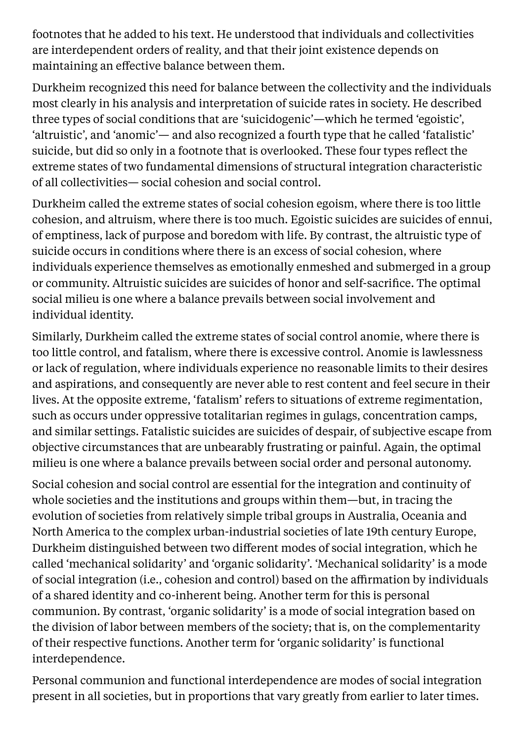footnotes that he added to his text. He understood that individuals and collectivities are interdependent orders of reality, and that their joint existence depends on maintaining an effective balance between them.

Durkheim recognized this need for balance between the collectivity and the individuals most clearly in his analysis and interpretation of suicide rates in society. He described three types of social conditions that are 'suicidogenic'—which he termed 'egoistic', 'altruistic', and 'anomic'— and also recognized a fourth type that he called 'fatalistic' suicide, but did so only in a footnote that is overlooked. These four types reflect the extreme states of two fundamental dimensions of structural integration characteristic of all collectivities— social cohesion and social control.

Durkheim called the extreme states of social cohesion egoism, where there is too little cohesion, and altruism, where there is too much. Egoistic suicides are suicides of ennui, of emptiness, lack of purpose and boredom with life. By contrast, the altruistic type of suicide occurs in conditions where there is an excess of social cohesion, where individuals experience themselves as emotionally enmeshed and submerged in a group or community. Altruistic suicides are suicides of honor and self-sacrifice. The optimal social milieu is one where a balance prevails between social involvement and individual identity.

Similarly, Durkheim called the extreme states of social control anomie, where there is too little control, and fatalism, where there is excessive control. Anomie is lawlessness or lack of regulation, where individuals experience no reasonable limits to their desires and aspirations, and consequently are never able to rest content and feel secure in their lives. At the opposite extreme, 'fatalism' refers to situations of extreme regimentation, such as occurs under oppressive totalitarian regimes in gulags, concentration camps, and similar settings. Fatalistic suicides are suicides of despair, of subjective escape from objective circumstances that are unbearably frustrating or painful. Again, the optimal milieu is one where a balance prevails between social order and personal autonomy.

Social cohesion and social control are essential for the integration and continuity of whole societies and the institutions and groups within them—but, in tracing the evolution of societies from relatively simple tribal groups in Australia, Oceania and North America to the complex urban-industrial societies of late 19th century Europe, Durkheim distinguished between two different modes of social integration, which he called 'mechanical solidarity' and 'organic solidarity'. 'Mechanical solidarity' is a mode of social integration (i.e., cohesion and control) based on the affirmation by individuals of a shared identity and co-inherent being. Another term for this is personal communion. By contrast, 'organic solidarity' is a mode of social integration based on the division of labor between members of the society; that is, on the complementarity of their respective functions. Another term for 'organic solidarity' is functional interdependence.

Personal communion and functional interdependence are modes of social integration present in all societies, but in proportions that vary greatly from earlier to later times.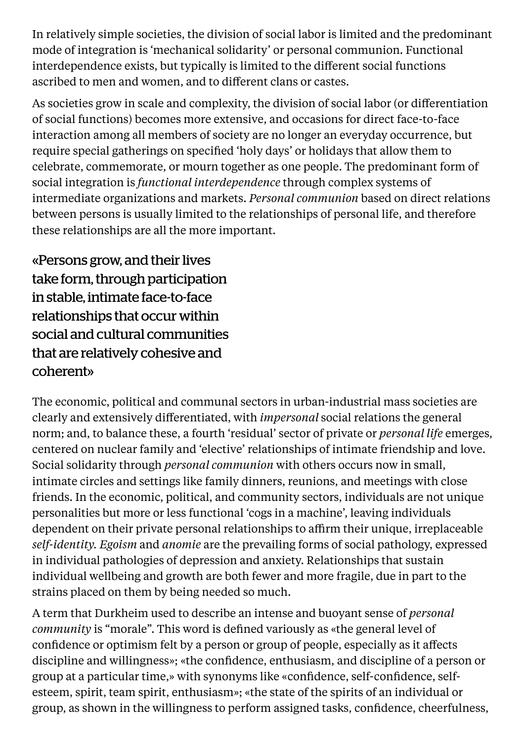In relatively simple societies, the division of social labor is limited and the predominant mode of integration is 'mechanical solidarity' or personal communion. Functional interdependence exists, but typically is limited to the different social functions ascribed to men and women, and to different clans or castes.

As societies grow in scale and complexity, the division of social labor (or differentiation of social functions) becomes more extensive, and occasions for direct face-to-face interaction among all members of society are no longer an everyday occurrence, but require special gatherings on specified 'holy days' or holidays that allow them to celebrate, commemorate, or mourn together as one people. The predominant form of social integration is *functional interdependence* through complex systems of intermediate organizations and markets. *Personal communion* based on direct relations between persons is usually limited to the relationships of personal life, and therefore these relationships are all the more important.

«Persons grow, and their lives take form, through participation in stable, intimate face-to-face relationships that occur within social and cultural communities that are relatively cohesive and coherent»

The economic, political and communal sectors in urban-industrial mass societies are clearly and extensively differentiated, with *impersonal* social relations the general norm; and, to balance these, a fourth 'residual' sector of private or *personal life* emerges, centered on nuclear family and 'elective' relationships of intimate friendship and love. Social solidarity through *personal communion* with others occurs now in small, intimate circles and settings like family dinners, reunions, and meetings with close friends. In the economic, political, and community sectors, individuals are not unique personalities but more or less functional 'cogs in a machine', leaving individuals dependent on their private personal relationships to affirm their unique, irreplaceable *self-identity. Egoism* and *anomie* are the prevailing forms of social pathology, expressed in individual pathologies of depression and anxiety. Relationships that sustain individual wellbeing and growth are both fewer and more fragile, due in part to the strains placed on them by being needed so much.

A term that Durkheim used to describe an intense and buoyant sense of *personal community* is "morale". This word is defined variously as «the general level of confidence or optimism felt by a person or group of people, especially as it affects discipline and willingness»; «the confidence, enthusiasm, and discipline of a person or group at a particular time,» with synonyms like «confidence, self-confidence, selfesteem, spirit, team spirit, enthusiasm»; «the state of the spirits of an individual or group, as shown in the willingness to perform assigned tasks, confidence, cheerfulness,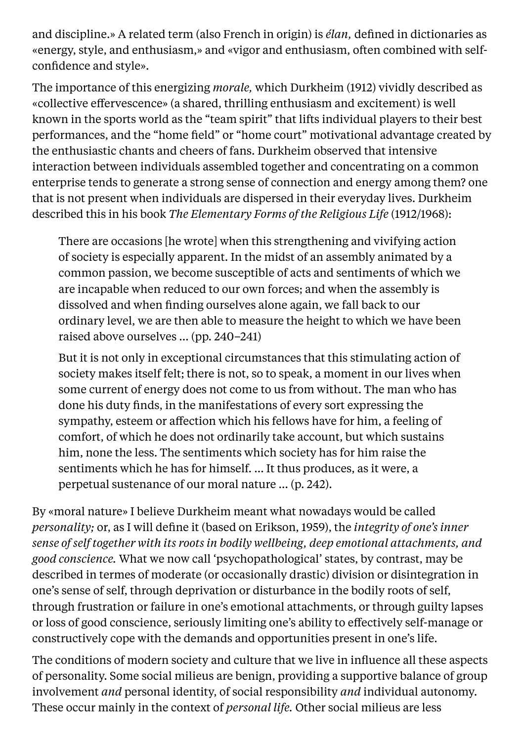and discipline.» A related term (also French in origin) is *élan,* defined in dictionaries as «energy, style, and enthusiasm,» and «vigor and enthusiasm, often combined with selfconfidence and style».

The importance of this energizing *morale,* which Durkheim (1912) vividly described as «collective effervescence» (a shared, thrilling enthusiasm and excitement) is well known in the sports world as the "team spirit" that lifts individual players to their best performances, and the "home field" or "home court" motivational advantage created by the enthusiastic chants and cheers of fans. Durkheim observed that intensive interaction between individuals assembled together and concentrating on a common enterprise tends to generate a strong sense of connection and energy among them? one that is not present when individuals are dispersed in their everyday lives. Durkheim described this in his book *The Elementary Forms of the Religious Life* (1912/1968):

There are occasions [he wrote] when this strengthening and vivifying action of society is especially apparent. In the midst of an assembly animated by a common passion, we become susceptible of acts and sentiments of which we are incapable when reduced to our own forces; and when the assembly is dissolved and when finding ourselves alone again, we fall back to our ordinary level, we are then able to measure the height to which we have been raised above ourselves … (pp. 240–241)

But it is not only in exceptional circumstances that this stimulating action of society makes itself felt; there is not, so to speak, a moment in our lives when some current of energy does not come to us from without. The man who has done his duty finds, in the manifestations of every sort expressing the sympathy, esteem or affection which his fellows have for him, a feeling of comfort, of which he does not ordinarily take account, but which sustains him, none the less. The sentiments which society has for him raise the sentiments which he has for himself. … It thus produces, as it were, a perpetual sustenance of our moral nature … (p. 242).

By «moral nature» I believe Durkheim meant what nowadays would be called *personality;* or, as I will define it (based on Erikson, 1959), the *integrity of one's inner sense of self together with its roots in bodily wellbeing, deep emotional attachments, and good conscience.* What we now call 'psychopathological' states, by contrast, may be described in termes of moderate (or occasionally drastic) division or disintegration in one's sense of self, through deprivation or disturbance in the bodily roots of self, through frustration or failure in one's emotional attachments, or through guilty lapses or loss of good conscience, seriously limiting one's ability to effectively self-manage or constructively cope with the demands and opportunities present in one's life.

The conditions of modern society and culture that we live in influence all these aspects of personality. Some social milieus are benign, providing a supportive balance of group involvement *and* personal identity, of social responsibility *and* individual autonomy. These occur mainly in the context of *personal life.* Other social milieus are less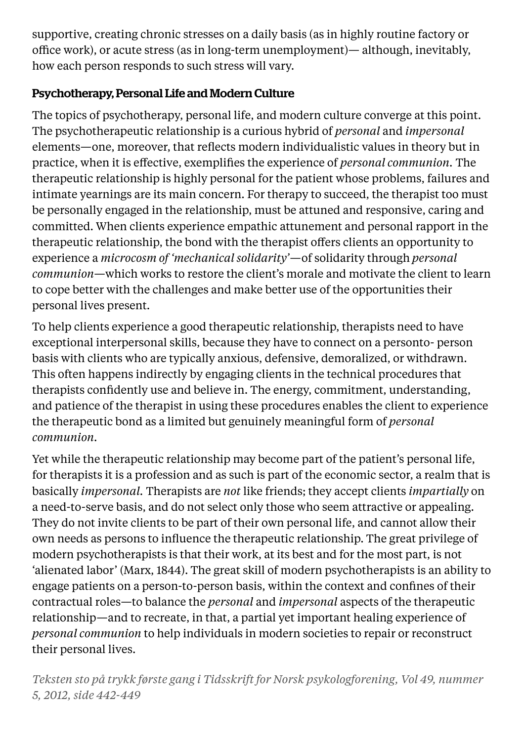supportive, creating chronic stresses on a daily basis (as in highly routine factory or office work), or acute stress (as in long-term unemployment)— although, inevitably, how each person responds to such stress will vary.

# Psychotherapy, Personal Life and Modern Culture

The topics of psychotherapy, personal life, and modern culture converge at this point. The psychotherapeutic relationship is a curious hybrid of *personal* and *impersonal* elements—one, moreover, that reflects modern individualistic values in theory but in practice, when it is effective, exemplifies the experience of *personal communion.* The therapeutic relationship is highly personal for the patient whose problems, failures and intimate yearnings are its main concern. For therapy to succeed, the therapist too must be personally engaged in the relationship, must be attuned and responsive, caring and committed. When clients experience empathic attunement and personal rapport in the therapeutic relationship, the bond with the therapist offers clients an opportunity to experience a *microcosm of 'mechanical solidarity'*—of solidarity through *personal communion*—which works to restore the client's morale and motivate the client to learn to cope better with the challenges and make better use of the opportunities their personal lives present.

To help clients experience a good therapeutic relationship, therapists need to have exceptional interpersonal skills, because they have to connect on a personto- person basis with clients who are typically anxious, defensive, demoralized, or withdrawn. This often happens indirectly by engaging clients in the technical procedures that therapists confidently use and believe in. The energy, commitment, understanding, and patience of the therapist in using these procedures enables the client to experience the therapeutic bond as a limited but genuinely meaningful form of *personal communion.*

Yet while the therapeutic relationship may become part of the patient's personal life, for therapists it is a profession and as such is part of the economic sector, a realm that is basically *impersonal.* Therapists are *not* like friends; they accept clients *impartially* on a need-to-serve basis, and do not select only those who seem attractive or appealing. They do not invite clients to be part of their own personal life, and cannot allow their own needs as persons to influence the therapeutic relationship. The great privilege of modern psychotherapists is that their work, at its best and for the most part, is not 'alienated labor' (Marx, 1844). The great skill of modern psychotherapists is an ability to engage patients on a person-to-person basis, within the context and confines of their contractual roles—to balance the *personal* and *impersonal* aspects of the therapeutic relationship—and to recreate, in that, a partial yet important healing experience of *personal communion* to help individuals in modern societies to repair or reconstruct their personal lives.

*Teksten sto på trykk første gang i Tidsskrift for Norsk psykologforening, Vol 49, nummer 5, 2012, side 442-449*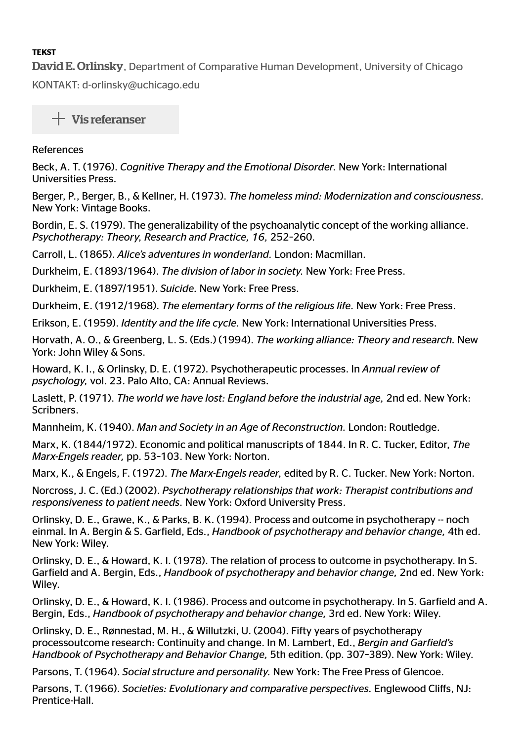#### **TEKST**

**David E. Orlinsky**, Department of Comparative Human Development, University of Chicago

KONTAKT: d-orlinsky@uchicago.edu

 $+$  Vis referanser

#### References

Beck, A. T. (1976). Cognitive Therapy and the Emotional Disorder. New York: International Universities Press.

Berger, P., Berger, B., & Kellner, H. (1973). The homeless mind: Modernization and consciousness. New York: Vintage Books.

Bordin, E. S. (1979). The generalizability of the psychoanalytic concept of the working alliance. Psychotherapy: Theory, Research and Practice, 16, 252-260.

Carroll, L. (1865). Alice's adventures in wonderland. London: Macmillan.

Durkheim, E. (1893/1964). The division of labor in society. New York: Free Press.

Durkheim, E. (1897/1951). Suicide. New York: Free Press.

Durkheim, E. (1912/1968). The elementary forms of the religious life. New York: Free Press.

Erikson, E. (1959). Identity and the life cycle. New York: International Universities Press.

Horvath, A. O., & Greenberg, L. S. (Eds.) (1994). The working alliance: Theory and research. New York: John Wiley & Sons.

Howard, K. I., & Orlinsky, D. E. (1972). Psychotherapeutic processes. In Annual review of psychology, vol. 23. Palo Alto, CA: Annual Reviews.

Laslett, P. (1971). The world we have lost: England before the industrial age, 2nd ed. New York: Scribners.

Mannheim, K. (1940). Man and Society in an Age of Reconstruction. London: Routledge.

Marx, K. (1844/1972). Economic and political manuscripts of 1844. In R. C. Tucker, Editor, The Marx-Engels reader, pp. 53-103. New York: Norton.

Marx, K., & Engels, F. (1972). The Marx-Engels reader, edited by R. C. Tucker. New York: Norton.

Norcross, J. C. (Ed.) (2002). Psychotherapy relationships that work: Therapist contributions and responsiveness to patient needs. New York: Oxford University Press.

Orlinsky, D. E., Grawe, K., & Parks, B. K. (1994). Process and outcome in psychotherapy -- noch einmal. In A. Bergin & S. Garfield, Eds., Handbook of psychotherapy and behavior change, 4th ed. New York: Wiley.

Orlinsky, D. E., & Howard, K. I. (1978). The relation of process to outcome in psychotherapy. In S. Garfield and A. Bergin, Eds., Handbook of psychotherapy and behavior change, 2nd ed. New York: Wiley.

Orlinsky, D. E., & Howard, K. I. (1986). Process and outcome in psychotherapy. In S. Garield and A. Bergin, Eds., Handbook of psychotherapy and behavior change, 3rd ed. New York: Wiley.

Orlinsky, D. E., Rønnestad, M. H., & Willutzki, U. (2004). Fifty years of psychotherapy processoutcome research: Continuity and change. In M. Lambert, Ed., Bergin and Garield's Handbook of Psychotherapy and Behavior Change, 5th edition. (pp. 307-389). New York: Wiley.

Parsons, T. (1964). Social structure and personality. New York: The Free Press of Glencoe.

Parsons, T. (1966). Societies: Evolutionary and comparative perspectives. Englewood Cliffs, NJ: Prentice-Hall.